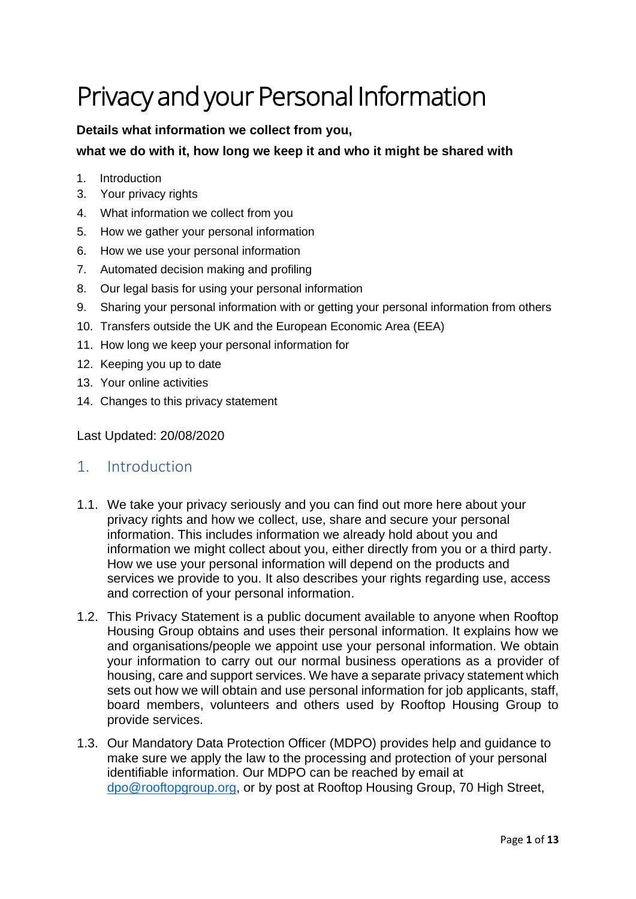# Privacy and your Personal Information

## **Details what information we collect from you,**

## **what we do with it, how long we keep it and who it might be shared with**

- 1. [Introduction](#page-0-0)
- 3. [Your privacy rights](#page-1-0)
- 4. [What information we collect from you](#page-2-0)
- 5. [How we gather your personal information](#page-3-0)
- 6. [How we use your personal information](#page-4-0)
- 7. [Automated decision making and profiling](#page-8-0)
- 8. [Our legal basis for using your personal information](#page-9-0)
- 9. [Sharing your personal information with or getting your personal information from others](#page-10-0)
- 10. [Transfers outside the UK and the European Economic Area \(EEA\)](#page-10-1)
- 11. [How long we keep your personal information for](#page-10-2)
- 12. [Keeping you up to date](#page-11-0)
- 13. [Your online activities](#page-11-1)
- 14. [Changes to this privacy statement](#page-12-0)

<span id="page-0-0"></span>Last Updated: 20/08/2020

## 1. Introduction

- 1.1. We take your privacy seriously and you can find out more here about your privacy rights and how we collect, use, share and secure your personal information. This includes information we already hold about you and information we might collect about you, either directly from you or a third party. How we use your personal information will depend on the products and services we provide to you. It also describes your rights regarding use, access and correction of your personal information.
- 1.2. This Privacy Statement is a public document available to anyone when Rooftop Housing Group obtains and uses their personal information. It explains how we and organisations/people we appoint use your personal information. We obtain your information to carry out our normal business operations as a provider of housing, care and support services. We have a separate privacy statement which sets out how we will obtain and use personal information for job applicants, staff, board members, volunteers and others used by Rooftop Housing Group to provide services.
- 1.3. Our Mandatory Data Protection Officer (MDPO) provides help and guidance to make sure we apply the law to the processing and protection of your personal identifiable information. Our MDPO can be reached by email at [dpo@rooftopgroup.org,](mailto:dpo@rooftopgroup.org) or by post at Rooftop Housing Group, 70 High Street,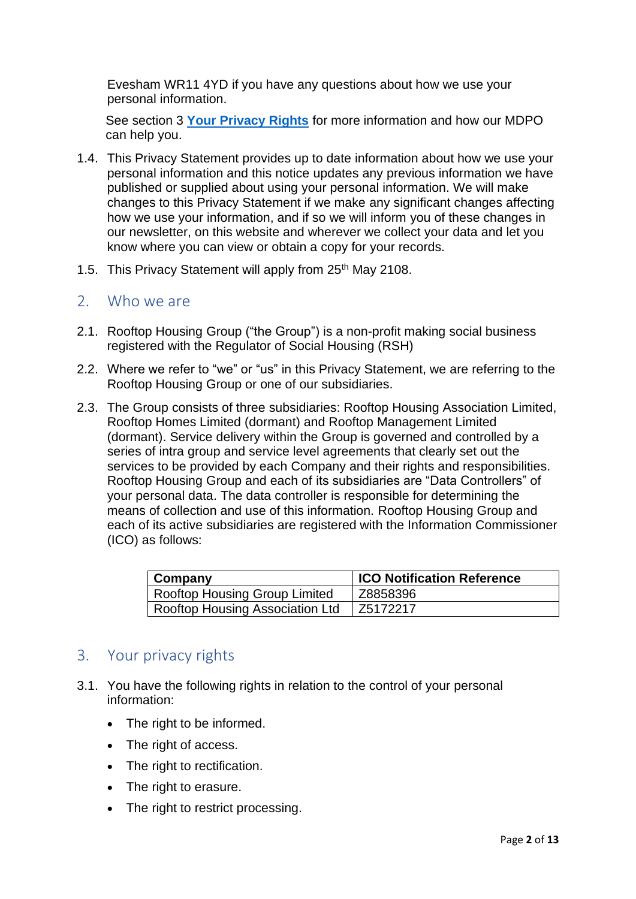Evesham WR11 4YD if you have any questions about how we use your personal information.

See section 3 **[Your Privacy Rights](#page-1-1)** for more information and how our MDPO can help you.

- 1.4. This Privacy Statement provides up to date information about how we use your personal information and this notice updates any previous information we have published or supplied about using your personal information. We will make changes to this Privacy Statement if we make any significant changes affecting how we use your information, and if so we will inform you of these changes in our newsletter, on this website and wherever we collect your data and let you know where you can view or obtain a copy for your records.
- 1.5. This Privacy Statement will apply from 25<sup>th</sup> May 2108.

## 2. Who we are

- 2.1. Rooftop Housing Group ("the Group") is a non-profit making social business registered with the Regulator of Social Housing (RSH)
- 2.2. Where we refer to "we" or "us" in this Privacy Statement, we are referring to the Rooftop Housing Group or one of our subsidiaries.
- 2.3. The Group consists of three subsidiaries: Rooftop Housing Association Limited, Rooftop Homes Limited (dormant) and Rooftop Management Limited (dormant). Service delivery within the Group is governed and controlled by a series of intra group and service level agreements that clearly set out the services to be provided by each Company and their rights and responsibilities. Rooftop Housing Group and each of its subsidiaries are "Data Controllers" of your personal data. The data controller is responsible for determining the means of collection and use of this information. Rooftop Housing Group and each of its active subsidiaries are registered with the Information Commissioner (ICO) as follows:

| $\mid$ Company                  | <b>ICO Notification Reference</b> |
|---------------------------------|-----------------------------------|
| Rooftop Housing Group Limited   | Z8858396                          |
| Rooftop Housing Association Ltd | l Z5172217                        |

# <span id="page-1-1"></span><span id="page-1-0"></span>3. Your privacy rights

- 3.1. You have the following rights in relation to the control of your personal information:
	- The right to be informed.
	- The right of access.
	- The right to rectification.
	- The right to erasure.
	- The right to restrict processing.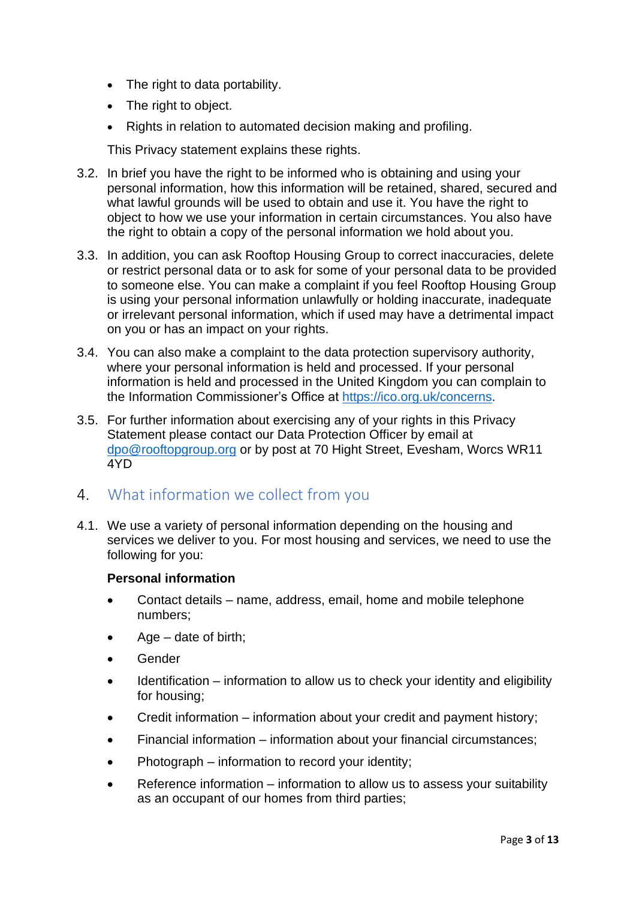- The right to data portability.
- The right to object.
- Rights in relation to automated decision making and profiling.

This Privacy statement explains these rights.

- 3.2. In brief you have the right to be informed who is obtaining and using your personal information, how this information will be retained, shared, secured and what lawful grounds will be used to obtain and use it. You have the right to object to how we use your information in certain circumstances. You also have the right to obtain a copy of the personal information we hold about you.
- 3.3. In addition, you can ask Rooftop Housing Group to correct inaccuracies, delete or restrict personal data or to ask for some of your personal data to be provided to someone else. You can make a complaint if you feel Rooftop Housing Group is using your personal information unlawfully or holding inaccurate, inadequate or irrelevant personal information, which if used may have a detrimental impact on you or has an impact on your rights.
- 3.4. You can also make a complaint to the data protection supervisory authority, where your personal information is held and processed. If your personal information is held and processed in the United Kingdom you can complain to the Information Commissioner's Office at [https://ico.org.uk/concerns.](https://ico.org.uk/concerns)
- 3.5. For further information about exercising any of your rights in this Privacy Statement please contact our Data Protection Officer by email at [dpo@rooftopgroup.org](mailto:dpo@rooftopgroup.org) or by post at 70 Hight Street, Evesham, Worcs WR11 4YD

## <span id="page-2-0"></span>4. What information we collect from you

4.1. We use a variety of personal information depending on the housing and services we deliver to you. For most housing and services, we need to use the following for you:

#### **Personal information**

- Contact details name, address, email, home and mobile telephone numbers;
- Age  $-$  date of birth;
- **Gender**
- Identification information to allow us to check your identity and eligibility for housing;
- Credit information information about your credit and payment history;
- Financial information information about your financial circumstances;
- Photograph information to record your identity;
- Reference information information to allow us to assess your suitability as an occupant of our homes from third parties;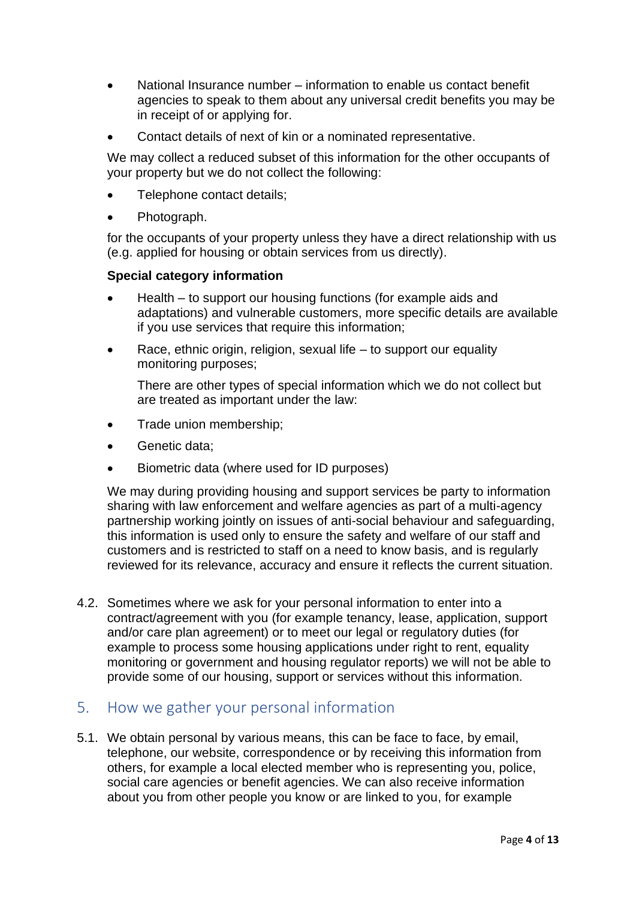- National Insurance number information to enable us contact benefit agencies to speak to them about any universal credit benefits you may be in receipt of or applying for.
- Contact details of next of kin or a nominated representative.

We may collect a reduced subset of this information for the other occupants of your property but we do not collect the following:

- Telephone contact details;
- Photograph.

for the occupants of your property unless they have a direct relationship with us (e.g. applied for housing or obtain services from us directly).

#### **Special category information**

- Health to support our housing functions (for example aids and adaptations) and vulnerable customers, more specific details are available if you use services that require this information;
- Race, ethnic origin, religion, sexual life  $-$  to support our equality monitoring purposes;

There are other types of special information which we do not collect but are treated as important under the law:

- Trade union membership;
- Genetic data:
- Biometric data (where used for ID purposes)

We may during providing housing and support services be party to information sharing with law enforcement and welfare agencies as part of a multi-agency partnership working jointly on issues of anti-social behaviour and safeguarding, this information is used only to ensure the safety and welfare of our staff and customers and is restricted to staff on a need to know basis, and is regularly reviewed for its relevance, accuracy and ensure it reflects the current situation.

4.2. Sometimes where we ask for your personal information to enter into a contract/agreement with you (for example tenancy, lease, application, support and/or care plan agreement) or to meet our legal or regulatory duties (for example to process some housing applications under right to rent, equality monitoring or government and housing regulator reports) we will not be able to provide some of our housing, support or services without this information.

## <span id="page-3-0"></span>5. How we gather your personal information

5.1. We obtain personal by various means, this can be face to face, by email, telephone, our website, correspondence or by receiving this information from others, for example a local elected member who is representing you, police, social care agencies or benefit agencies. We can also receive information about you from other people you know or are linked to you, for example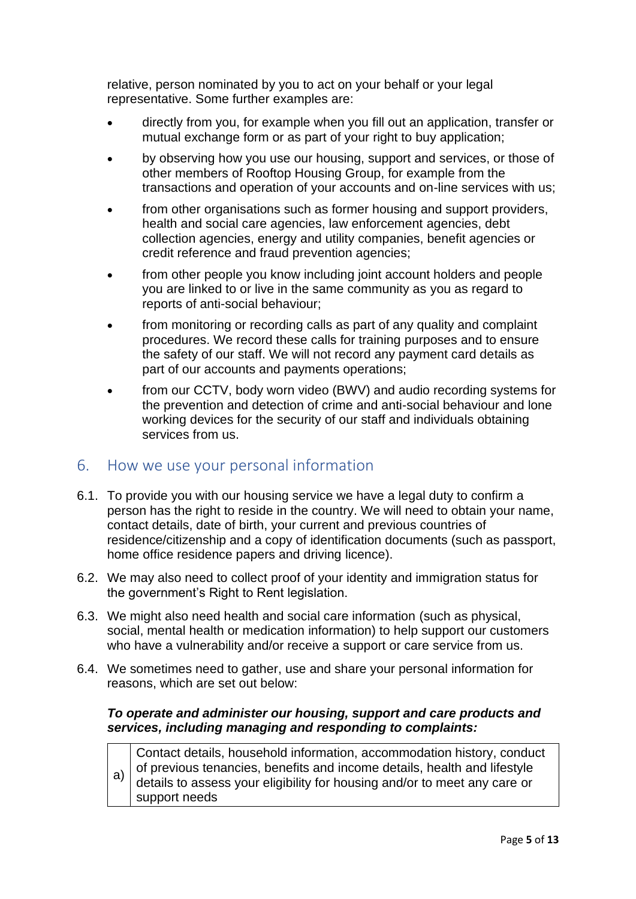relative, person nominated by you to act on your behalf or your legal representative. Some further examples are:

- directly from you, for example when you fill out an application, transfer or mutual exchange form or as part of your right to buy application;
- by observing how you use our housing, support and services, or those of other members of Rooftop Housing Group, for example from the transactions and operation of your accounts and on-line services with us;
- from other organisations such as former housing and support providers, health and social care agencies, law enforcement agencies, debt collection agencies, energy and utility companies, benefit agencies or credit reference and fraud prevention agencies;
- from other people you know including joint account holders and people you are linked to or live in the same community as you as regard to reports of anti-social behaviour;
- from monitoring or recording calls as part of any quality and complaint procedures. We record these calls for training purposes and to ensure the safety of our staff. We will not record any payment card details as part of our accounts and payments operations;
- from our CCTV, body worn video (BWV) and audio recording systems for the prevention and detection of crime and anti-social behaviour and lone working devices for the security of our staff and individuals obtaining services from us.

## <span id="page-4-0"></span>6. How we use your personal information

- 6.1. To provide you with our housing service we have a legal duty to confirm a person has the right to reside in the country. We will need to obtain your name, contact details, date of birth, your current and previous countries of residence/citizenship and a copy of identification documents (such as passport, home office residence papers and driving licence).
- 6.2. We may also need to collect proof of your identity and immigration status for the government's Right to Rent legislation.
- 6.3. We might also need health and social care information (such as physical, social, mental health or medication information) to help support our customers who have a vulnerability and/or receive a support or care service from us.
- 6.4. We sometimes need to gather, use and share your personal information for reasons, which are set out below:

## *To operate and administer our housing, support and care products and services, including managing and responding to complaints:*

a) Contact details, household information, accommodation history, conduct of previous tenancies, benefits and income details, health and lifestyle details to assess your eligibility for housing and/or to meet any care or support needs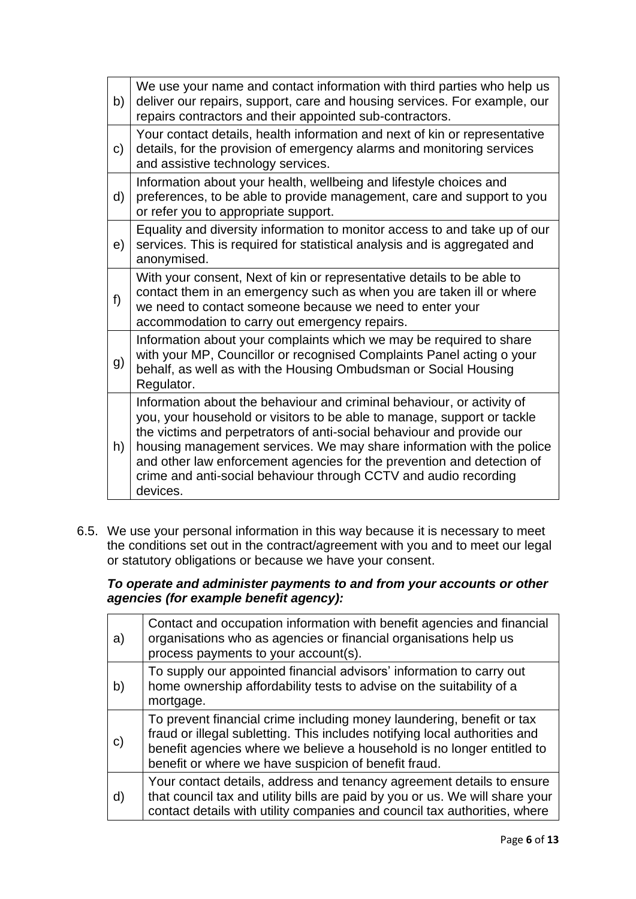| b)           | We use your name and contact information with third parties who help us<br>deliver our repairs, support, care and housing services. For example, our<br>repairs contractors and their appointed sub-contractors.                                                                                                                                                                                                                                              |
|--------------|---------------------------------------------------------------------------------------------------------------------------------------------------------------------------------------------------------------------------------------------------------------------------------------------------------------------------------------------------------------------------------------------------------------------------------------------------------------|
| $\mathsf{C}$ | Your contact details, health information and next of kin or representative<br>details, for the provision of emergency alarms and monitoring services<br>and assistive technology services.                                                                                                                                                                                                                                                                    |
| d)           | Information about your health, wellbeing and lifestyle choices and<br>preferences, to be able to provide management, care and support to you<br>or refer you to appropriate support.                                                                                                                                                                                                                                                                          |
| e)           | Equality and diversity information to monitor access to and take up of our<br>services. This is required for statistical analysis and is aggregated and<br>anonymised.                                                                                                                                                                                                                                                                                        |
| f            | With your consent, Next of kin or representative details to be able to<br>contact them in an emergency such as when you are taken ill or where<br>we need to contact someone because we need to enter your<br>accommodation to carry out emergency repairs.                                                                                                                                                                                                   |
| g)           | Information about your complaints which we may be required to share<br>with your MP, Councillor or recognised Complaints Panel acting o your<br>behalf, as well as with the Housing Ombudsman or Social Housing<br>Regulator.                                                                                                                                                                                                                                 |
| h)           | Information about the behaviour and criminal behaviour, or activity of<br>you, your household or visitors to be able to manage, support or tackle<br>the victims and perpetrators of anti-social behaviour and provide our<br>housing management services. We may share information with the police<br>and other law enforcement agencies for the prevention and detection of<br>crime and anti-social behaviour through CCTV and audio recording<br>devices. |

6.5. We use your personal information in this way because it is necessary to meet the conditions set out in the contract/agreement with you and to meet our legal or statutory obligations or because we have your consent.

*To operate and administer payments to and from your accounts or other agencies (for example benefit agency):*

| a) | Contact and occupation information with benefit agencies and financial<br>organisations who as agencies or financial organisations help us<br>process payments to your account(s).                                                                                                    |
|----|---------------------------------------------------------------------------------------------------------------------------------------------------------------------------------------------------------------------------------------------------------------------------------------|
| b) | To supply our appointed financial advisors' information to carry out<br>home ownership affordability tests to advise on the suitability of a<br>mortgage.                                                                                                                             |
| C) | To prevent financial crime including money laundering, benefit or tax<br>fraud or illegal subletting. This includes notifying local authorities and<br>benefit agencies where we believe a household is no longer entitled to<br>benefit or where we have suspicion of benefit fraud. |
| d) | Your contact details, address and tenancy agreement details to ensure<br>that council tax and utility bills are paid by you or us. We will share your<br>contact details with utility companies and council tax authorities, where                                                    |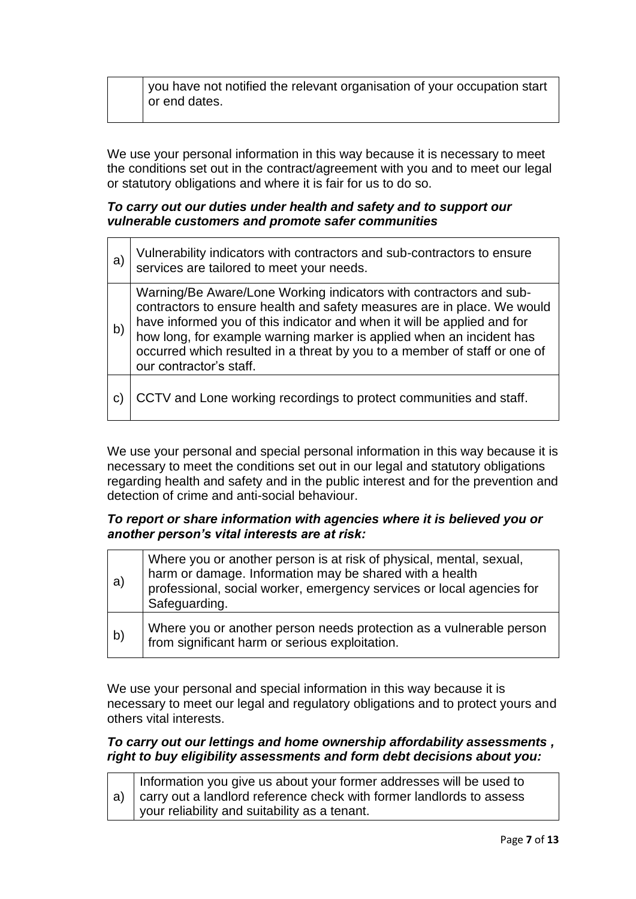you have not notified the relevant organisation of your occupation start or end dates.

We use your personal information in this way because it is necessary to meet the conditions set out in the contract/agreement with you and to meet our legal or statutory obligations and where it is fair for us to do so.

#### *To carry out our duties under health and safety and to support our vulnerable customers and promote safer communities*

| a) | Vulnerability indicators with contractors and sub-contractors to ensure services are tailored to meet your needs.                                                                                                                                                                                                                                                                                        |
|----|----------------------------------------------------------------------------------------------------------------------------------------------------------------------------------------------------------------------------------------------------------------------------------------------------------------------------------------------------------------------------------------------------------|
| b) | Warning/Be Aware/Lone Working indicators with contractors and sub-<br>contractors to ensure health and safety measures are in place. We would<br>have informed you of this indicator and when it will be applied and for<br>how long, for example warning marker is applied when an incident has<br>occurred which resulted in a threat by you to a member of staff or one of<br>our contractor's staff. |
|    | CCTV and Lone working recordings to protect communities and staff.                                                                                                                                                                                                                                                                                                                                       |

We use your personal and special personal information in this way because it is necessary to meet the conditions set out in our legal and statutory obligations regarding health and safety and in the public interest and for the prevention and detection of crime and anti-social behaviour.

#### *To report or share information with agencies where it is believed you or another person's vital interests are at risk:*

| a) | Where you or another person is at risk of physical, mental, sexual,<br>harm or damage. Information may be shared with a health<br>professional, social worker, emergency services or local agencies for<br>Safeguarding. |
|----|--------------------------------------------------------------------------------------------------------------------------------------------------------------------------------------------------------------------------|
| b) | Where you or another person needs protection as a vulnerable person<br>from significant harm or serious exploitation.                                                                                                    |

We use your personal and special information in this way because it is necessary to meet our legal and regulatory obligations and to protect yours and others vital interests.

#### *To carry out our lettings and home ownership affordability assessments , right to buy eligibility assessments and form debt decisions about you:*

| Information you give us about your former addresses will be used to                     |
|-----------------------------------------------------------------------------------------|
| $\vert$ a) $\vert$ carry out a landlord reference check with former landlords to assess |
| vour reliability and suitability as a tenant.                                           |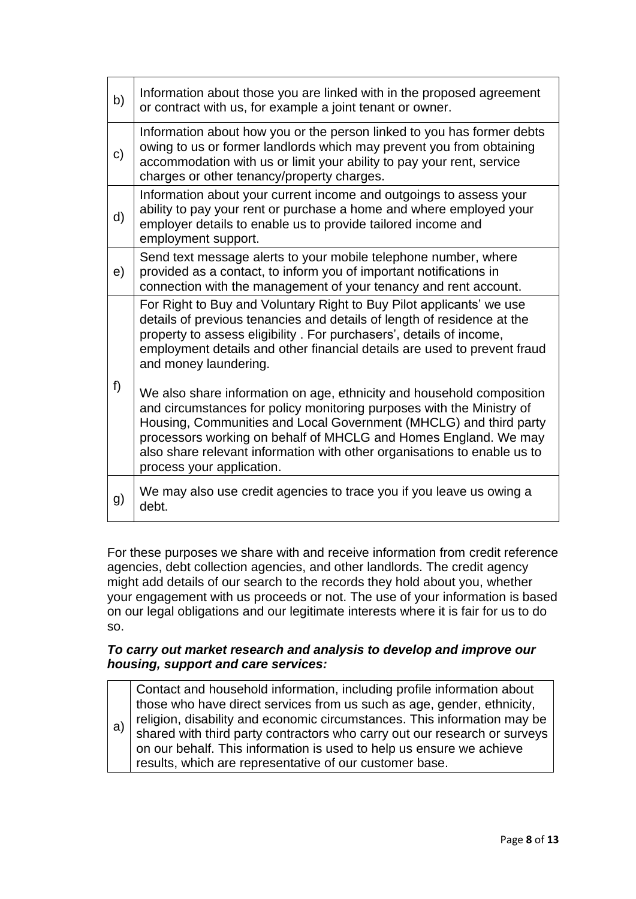| b) | Information about those you are linked with in the proposed agreement<br>or contract with us, for example a joint tenant or owner.                                                                                                                                                                                                                                                              |
|----|-------------------------------------------------------------------------------------------------------------------------------------------------------------------------------------------------------------------------------------------------------------------------------------------------------------------------------------------------------------------------------------------------|
| c) | Information about how you or the person linked to you has former debts<br>owing to us or former landlords which may prevent you from obtaining<br>accommodation with us or limit your ability to pay your rent, service<br>charges or other tenancy/property charges.                                                                                                                           |
| d) | Information about your current income and outgoings to assess your<br>ability to pay your rent or purchase a home and where employed your<br>employer details to enable us to provide tailored income and<br>employment support.                                                                                                                                                                |
| e) | Send text message alerts to your mobile telephone number, where<br>provided as a contact, to inform you of important notifications in<br>connection with the management of your tenancy and rent account.                                                                                                                                                                                       |
| f) | For Right to Buy and Voluntary Right to Buy Pilot applicants' we use<br>details of previous tenancies and details of length of residence at the<br>property to assess eligibility. For purchasers', details of income,<br>employment details and other financial details are used to prevent fraud<br>and money laundering.                                                                     |
|    | We also share information on age, ethnicity and household composition<br>and circumstances for policy monitoring purposes with the Ministry of<br>Housing, Communities and Local Government (MHCLG) and third party<br>processors working on behalf of MHCLG and Homes England. We may<br>also share relevant information with other organisations to enable us to<br>process your application. |
| g) | We may also use credit agencies to trace you if you leave us owing a<br>debt.                                                                                                                                                                                                                                                                                                                   |

For these purposes we share with and receive information from credit reference agencies, debt collection agencies, and other landlords. The credit agency might add details of our search to the records they hold about you, whether your engagement with us proceeds or not. The use of your information is based on our legal obligations and our legitimate interests where it is fair for us to do so.

#### *To carry out market research and analysis to develop and improve our housing, support and care services:*

| a) | Contact and household information, including profile information about<br>those who have direct services from us such as age, gender, ethnicity,<br>religion, disability and economic circumstances. This information may be<br>shared with third party contractors who carry out our research or surveys<br>on our behalf. This information is used to help us ensure we achieve<br>results, which are representative of our customer base. |
|----|----------------------------------------------------------------------------------------------------------------------------------------------------------------------------------------------------------------------------------------------------------------------------------------------------------------------------------------------------------------------------------------------------------------------------------------------|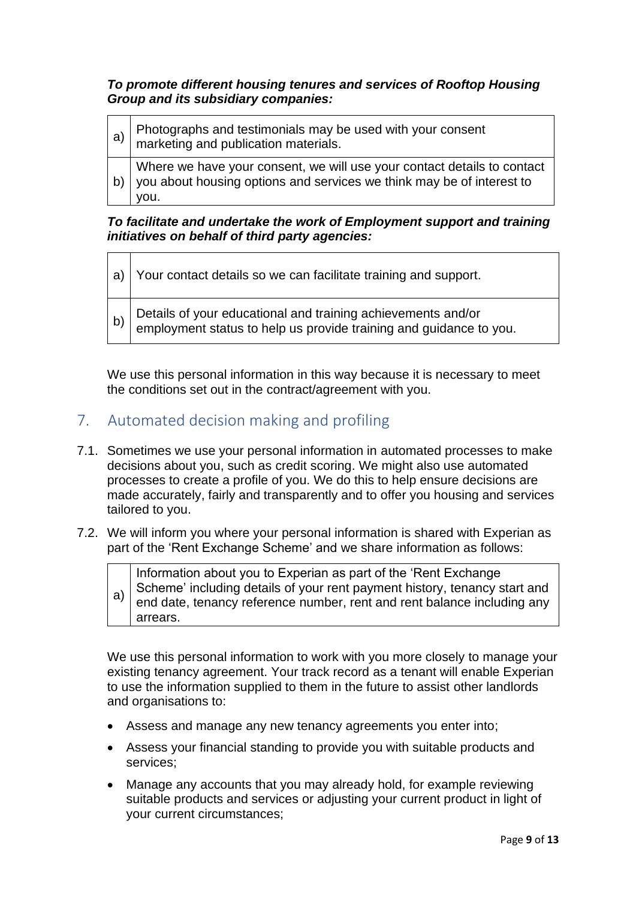#### *To promote different housing tenures and services of Rooftop Housing Group and its subsidiary companies:*

| a) | Photographs and testimonials may be used with your consent<br>marketing and publication materials.                                                       |
|----|----------------------------------------------------------------------------------------------------------------------------------------------------------|
| b) | Where we have your consent, we will use your contact details to contact<br>you about housing options and services we think may be of interest to<br>vou. |

#### *To facilitate and undertake the work of Employment support and training initiatives on behalf of third party agencies:*

a) Your contact details so we can facilitate training and support.

b) Details of your educational and training achievements and/or employment status to help us provide training and guidance to you.

We use this personal information in this way because it is necessary to meet the conditions set out in the contract/agreement with you.

# <span id="page-8-0"></span>7. Automated decision making and profiling

- 7.1. Sometimes we use your personal information in automated processes to make decisions about you, such as credit scoring. We might also use automated processes to create a profile of you. We do this to help ensure decisions are made accurately, fairly and transparently and to offer you housing and services tailored to you.
- 7.2. We will inform you where your personal information is shared with Experian as part of the 'Rent Exchange Scheme' and we share information as follows:

a) Information about you to Experian as part of the 'Rent Exchange Scheme' including details of your rent payment history, tenancy start and end date, tenancy reference number, rent and rent balance including any arrears.

We use this personal information to work with you more closely to manage your existing tenancy agreement. Your track record as a tenant will enable Experian to use the information supplied to them in the future to assist other landlords and organisations to:

- Assess and manage any new tenancy agreements you enter into;
- Assess your financial standing to provide you with suitable products and services;
- Manage any accounts that you may already hold, for example reviewing suitable products and services or adjusting your current product in light of your current circumstances;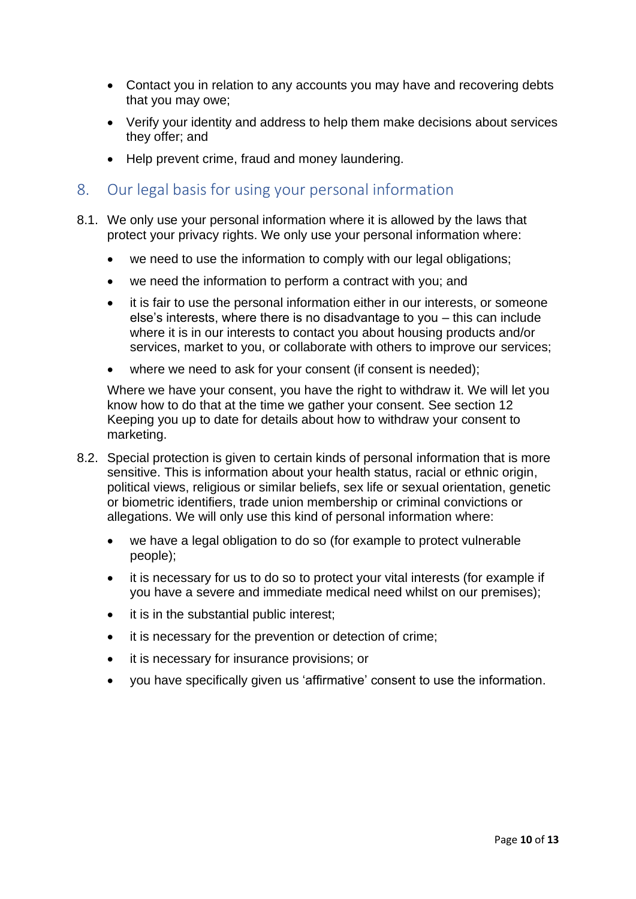- Contact you in relation to any accounts you may have and recovering debts that you may owe;
- Verify your identity and address to help them make decisions about services they offer; and
- Help prevent crime, fraud and money laundering.
- <span id="page-9-0"></span>8. Our legal basis for using your personal information
- 8.1. We only use your personal information where it is allowed by the laws that protect your privacy rights. We only use your personal information where:
	- we need to use the information to comply with our legal obligations;
	- we need the information to perform a contract with you; and
	- it is fair to use the personal information either in our interests, or someone else's interests, where there is no disadvantage to you – this can include where it is in our interests to contact you about housing products and/or services, market to you, or collaborate with others to improve our services;
	- where we need to ask for your consent (if consent is needed);

Where we have your consent, you have the right to withdraw it. We will let you know how to do that at the time we gather your consent. See section 12 Keeping you up to date for details about how to withdraw your consent to marketing.

- 8.2. Special protection is given to certain kinds of personal information that is more sensitive. This is information about your health status, racial or ethnic origin, political views, religious or similar beliefs, sex life or sexual orientation, genetic or biometric identifiers, trade union membership or criminal convictions or allegations. We will only use this kind of personal information where:
	- we have a legal obligation to do so (for example to protect vulnerable people);
	- it is necessary for us to do so to protect your vital interests (for example if you have a severe and immediate medical need whilst on our premises);
	- it is in the substantial public interest;
	- it is necessary for the prevention or detection of crime;
	- it is necessary for insurance provisions; or
	- you have specifically given us 'affirmative' consent to use the information.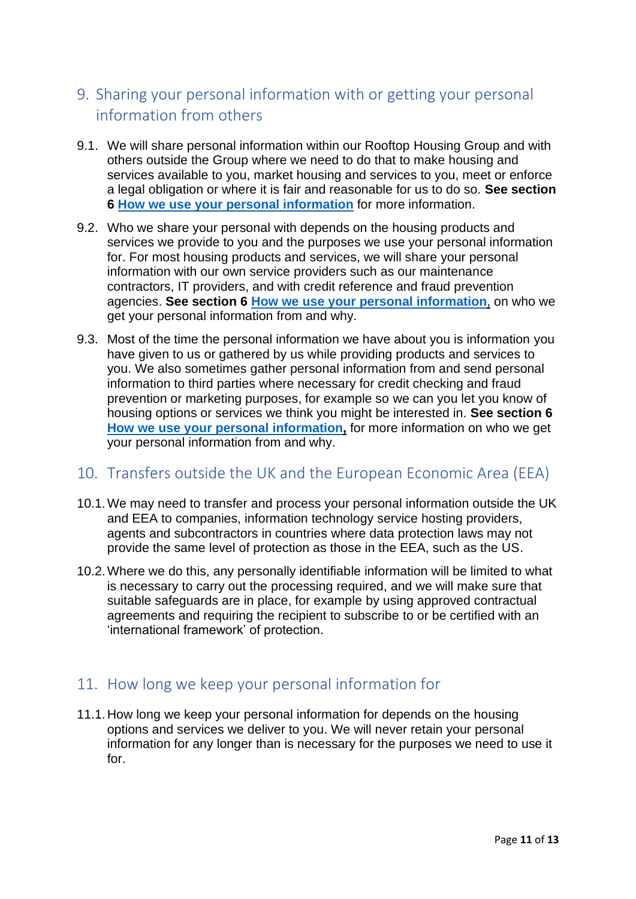# <span id="page-10-0"></span>9. Sharing your personal information with or getting your personal information from others

- 9.1. We will share personal information within our Rooftop Housing Group and with others outside the Group where we need to do that to make housing and services available to you, market housing and services to you, meet or enforce a legal obligation or where it is fair and reasonable for us to do so. **See section 6 How we use your personal information** for more information.
- 9.2. Who we share your personal with depends on the housing products and services we provide to you and the purposes we use your personal information for. For most housing products and services, we will share your personal information with our own service providers such as our maintenance contractors, IT providers, and with credit reference and fraud prevention agencies. **See section 6 How we use your personal information**, on who we get your personal information from and why.
- 9.3. Most of the time the personal information we have about you is information you have given to us or gathered by us while providing products and services to you. We also sometimes gather personal information from and send personal information to third parties where necessary for credit checking and fraud prevention or marketing purposes, for example so we can you let you know of housing options or services we think you might be interested in. **See section 6 How we use your personal information,** for more information on who we get your personal information from and why.

## <span id="page-10-1"></span>10. Transfers outside the UK and the European Economic Area (EEA)

- 10.1.We may need to transfer and process your personal information outside the UK and EEA to companies, information technology service hosting providers, agents and subcontractors in countries where data protection laws may not provide the same level of protection as those in the EEA, such as the US.
- 10.2.Where we do this, any personally identifiable information will be limited to what is necessary to carry out the processing required, and we will make sure that suitable safeguards are in place, for example by using approved contractual agreements and requiring the recipient to subscribe to or be certified with an 'international framework' of protection.

# <span id="page-10-2"></span>11. How long we keep your personal information for

11.1.How long we keep your personal information for depends on the housing options and services we deliver to you. We will never retain your personal information for any longer than is necessary for the purposes we need to use it for.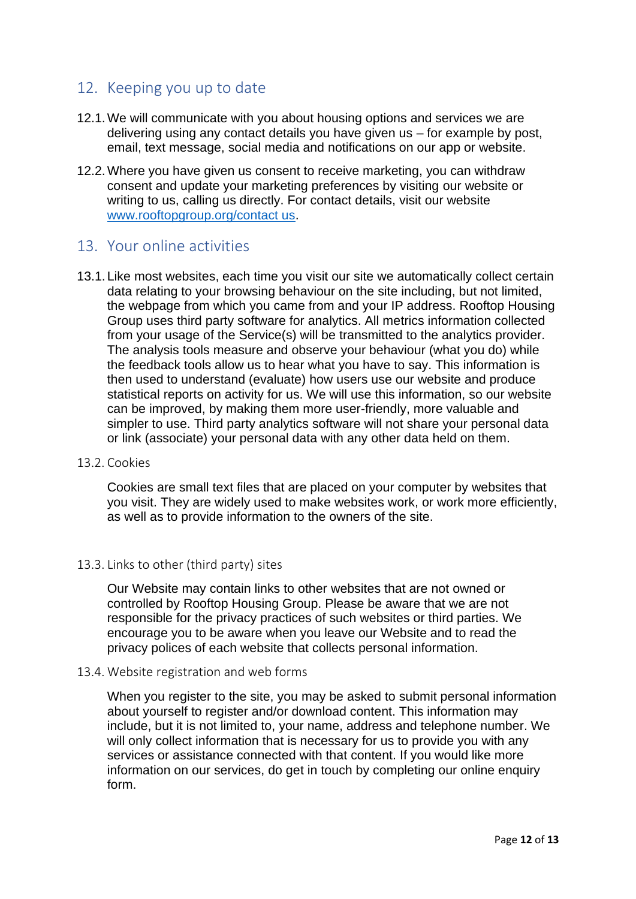## <span id="page-11-0"></span>12. Keeping you up to date

- 12.1.We will communicate with you about housing options and services we are delivering using any contact details you have given us – for example by post, email, text message, social media and notifications on our app or website.
- 12.2.Where you have given us consent to receive marketing, you can withdraw consent and update your marketing preferences by visiting our website or writing to us, calling us directly. For contact details, visit our website [www.rooftopgroup.org/contact us.](https://www.rooftopgroup.org/contact-us/)

## <span id="page-11-1"></span>13. Your online activities

13.1.Like most websites, each time you visit our site we automatically collect certain data relating to your browsing behaviour on the site including, but not limited, the webpage from which you came from and your IP address. Rooftop Housing Group uses third party software for analytics. All metrics information collected from your usage of the Service(s) will be transmitted to the analytics provider. The analysis tools measure and observe your behaviour (what you do) while the feedback tools allow us to hear what you have to say. This information is then used to understand (evaluate) how users use our website and produce statistical reports on activity for us. We will use this information, so our website can be improved, by making them more user-friendly, more valuable and simpler to use. Third party analytics software will not share your personal data or link (associate) your personal data with any other data held on them.

#### 13.2. Cookies

Cookies are small text files that are placed on your computer by websites that you visit. They are widely used to make websites work, or work more efficiently, as well as to provide information to the owners of the site.

#### 13.3. Links to other (third party) sites

Our Website may contain links to other websites that are not owned or controlled by Rooftop Housing Group. Please be aware that we are not responsible for the privacy practices of such websites or third parties. We encourage you to be aware when you leave our Website and to read the privacy polices of each website that collects personal information.

#### 13.4. Website registration and web forms

When you register to the site, you may be asked to submit personal information about yourself to register and/or download content. This information may include, but it is not limited to, your name, address and telephone number. We will only collect information that is necessary for us to provide you with any services or assistance connected with that content. If you would like more information on our services, do get in touch by completing our online enquiry form.